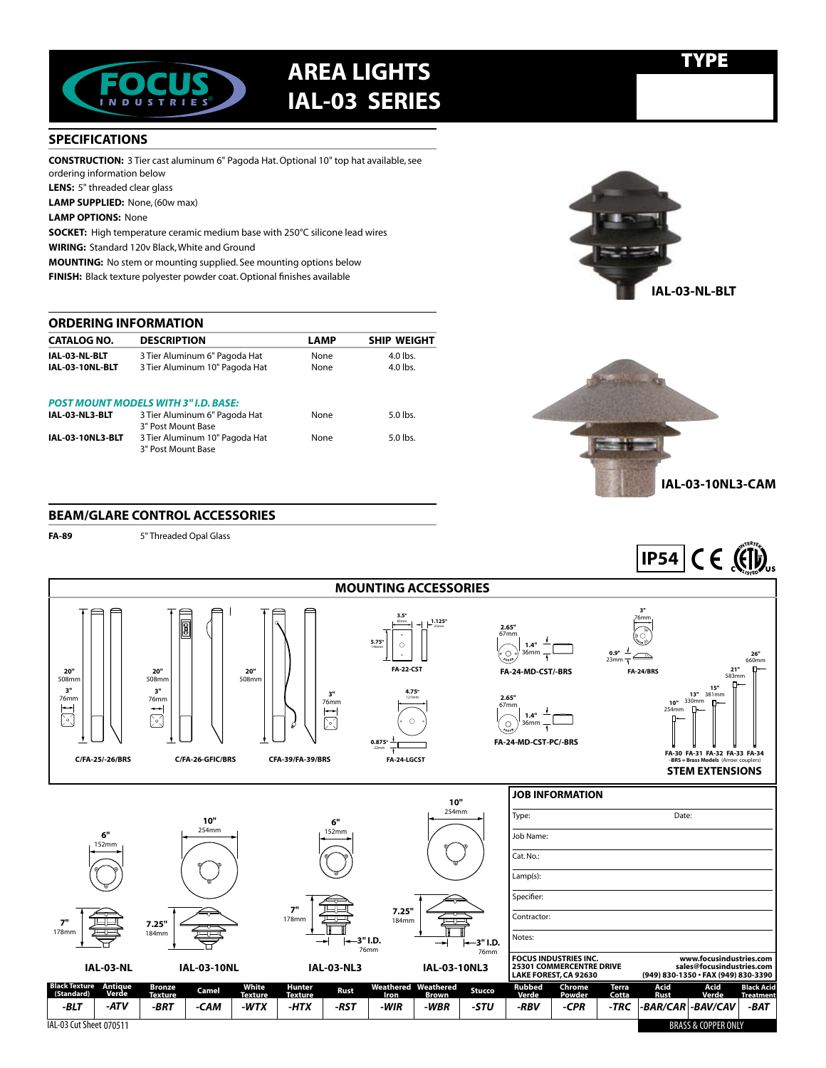

## TYPE **area LIGHTS IAL-03 SERIES**

## **SPECIFICATIONS**

**CONSTRUCTION:** 3 Tier cast aluminum 6" Pagoda Hat. Optional 10" top hat available, see ordering information below

**LENS:** 5" threaded clear glass

**LAMP SUPPLIED:** None, (60w max)

**LAMP OPTIONS:** None

**SOCKET:** High temperature ceramic medium base with 250°C silicone lead wires **WIRING:** Standard 120v Black, White and Ground

**MOUNTING:** No stem or mounting supplied. See mounting options below

**FINISH:** Black texture polyester powder coat. Optional finishes available

#### **ORDERING INFORMATION**

| <b>CATALOG NO.</b>      | <b>DESCRIPTION</b>                                   | <b>LAMP</b> | <b>SHIP WEIGHT</b> |
|-------------------------|------------------------------------------------------|-------------|--------------------|
| IAL-03-NL-BLT           | 3 Tier Aluminum 6" Pagoda Hat                        | None        | $4.0$ lbs.         |
| IAL-03-10NL-BLT         | 3 Tier Aluminum 10" Pagoda Hat                       | None        | $4.0$ lbs.         |
|                         | <b>POST MOUNT MODELS WITH 3"I.D. BASE:</b>           |             |                    |
| IAL-03-NL3-BLT          | 3 Tier Aluminum 6" Pagoda Hat                        | None        | $5.0$ lbs.         |
|                         | 3" Post Mount Base                                   |             |                    |
| <b>IAL-03-10NL3-BLT</b> | 3 Tier Aluminum 10" Pagoda Hat<br>3" Post Mount Base | None        | $5.0$ lbs.         |





**<sup>I</sup>NTERTE<sup>K</sup>**

### **BEAM/GLARE CONTROL ACCESSORIES**

**FA-89** 5" Threaded Opal Glass



IAL-03 Cut Sheet